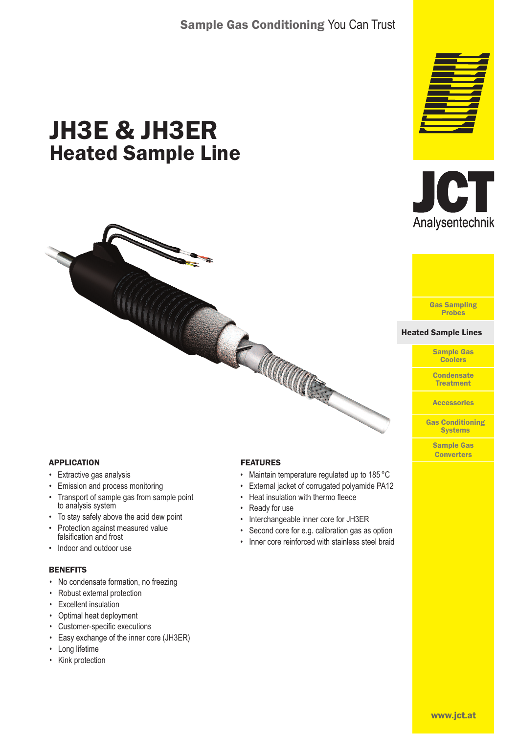# Sample Gas Conditioning You Can Trust

# JH3E & JH3ER Heated Sample Line







#### Heated Sample Lines Heated Sample Lines

Sample Gas Coolers

**Condensate Treatment** 

**Accessories** 

Gas Conditioning **Systems** 

> Sample Gas **Converters**

## APPLICATION

- Extractive gas analysis
- Emission and process monitoring
- Transport of sample gas from sample point to analysis system
- To stay safely above the acid dew point
- Protection against measured value falsification and frost
- Indoor and outdoor use

#### **BENEFITS**

- No condensate formation, no freezing
- Robust external protection
- Excellent insulation
- Optimal heat deployment
- Customer-specific executions
- Easy exchange of the inner core (JH3ER)
- Long lifetime
- Kink protection

#### FEATURES

CE COUCONNAIS

- Maintain temperature regulated up to 185 °C
- External jacket of corrugated polyamide PA12
- Heat insulation with thermo fleece
- Ready for use
- Interchangeable inner core for JH3ER
- Second core for e.g. calibration gas as option
- Inner core reinforced with stainless steel braid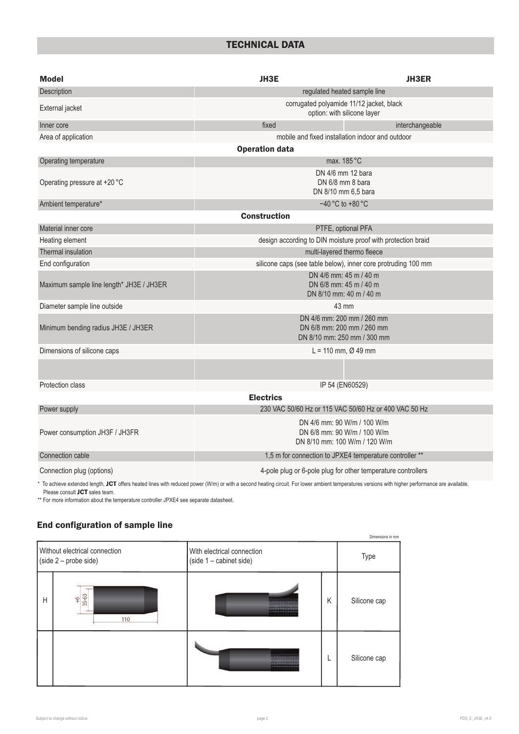# TECHNICAL DATA

| <b>Model</b>                             | <b>JH3E</b><br><b>JH3ER</b>                                                                 |                 |  |  |  |  |  |  |
|------------------------------------------|---------------------------------------------------------------------------------------------|-----------------|--|--|--|--|--|--|
| Description                              | regulated heated sample line                                                                |                 |  |  |  |  |  |  |
| External jacket                          | corrugated polyamide 11/12 jacket, black<br>option: with silicone layer                     |                 |  |  |  |  |  |  |
| Inner core                               | fixed                                                                                       | interchangeable |  |  |  |  |  |  |
| Area of application                      | mobile and fixed installation indoor and outdoor                                            |                 |  |  |  |  |  |  |
|                                          | <b>Operation data</b>                                                                       |                 |  |  |  |  |  |  |
| Operating temperature                    | max. 185 °C                                                                                 |                 |  |  |  |  |  |  |
| Operating pressure at +20 °C             | DN 4/6 mm 12 bara<br>DN 6/8 mm 8 bara<br>DN 8/10 mm 6,5 bara                                |                 |  |  |  |  |  |  |
| Ambient temperature*                     | $-40$ °C to +80 °C                                                                          |                 |  |  |  |  |  |  |
|                                          | <b>Construction</b>                                                                         |                 |  |  |  |  |  |  |
| Material inner core                      | PTFE, optional PFA                                                                          |                 |  |  |  |  |  |  |
| Heating element                          | design according to DIN moisture proof with protection braid                                |                 |  |  |  |  |  |  |
| <b>Thermal insulation</b>                | multi-layered thermo fleece                                                                 |                 |  |  |  |  |  |  |
| End configuration                        | silicone caps (see table below), inner core protruding 100 mm                               |                 |  |  |  |  |  |  |
| Maximum sample line length* JH3E / JH3ER | DN 4/6 mm: 45 m / 40 m<br>DN 6/8 mm: 45 m / 40 m<br>DN 8/10 mm: 40 m / 40 m                 |                 |  |  |  |  |  |  |
| Diameter sample line outside             | 43 mm                                                                                       |                 |  |  |  |  |  |  |
| Minimum bending radius JH3E / JH3ER      | DN 4/6 mm: 200 mm / 260 mm<br>DN 6/8 mm: 200 mm / 260 mm<br>DN 8/10 mm: 250 mm / 300 mm     |                 |  |  |  |  |  |  |
| Dimensions of silicone caps              | $L = 110$ mm, $Ø$ 49 mm                                                                     |                 |  |  |  |  |  |  |
|                                          |                                                                                             |                 |  |  |  |  |  |  |
| Protection class                         | IP 54 (EN60529)                                                                             |                 |  |  |  |  |  |  |
| <b>Electrics</b>                         |                                                                                             |                 |  |  |  |  |  |  |
| Power supply                             | 230 VAC 50/60 Hz or 115 VAC 50/60 Hz or 400 VAC 50 Hz                                       |                 |  |  |  |  |  |  |
| Power consumption JH3F / JH3FR           | DN 4/6 mm: 90 W/m / 100 W/m<br>DN 6/8 mm: 90 W/m / 100 W/m<br>DN 8/10 mm: 100 W/m / 120 W/m |                 |  |  |  |  |  |  |
| Connection cable                         | 1,5 m for connection to JPXE4 temperature controller **                                     |                 |  |  |  |  |  |  |
| Connection plug (options)                | 4-pole plug or 6-pole plug for other temperature controllers                                |                 |  |  |  |  |  |  |

\* To achieve extended length, JCT offers heated lines with reduced power (W/m) or with a second heating circuit. For lower ambient temperatures versions with higher performance are available. Please consult **JCT** sales team.

\*\* For more information about the temperature controller JPXE4 see separate datasheet.

## End configuration of sample line

|   |                                                                                                                   |  |   | Dimensions in mm |
|---|-------------------------------------------------------------------------------------------------------------------|--|---|------------------|
|   | Without electrical connection<br>With electrical connection<br>$(side 2 - probe side)$<br>(side 1 - cabinet side) |  |   |                  |
| H | 35-63<br>$\frac{6}{5}$<br>110                                                                                     |  | K | Silicone cap     |
|   |                                                                                                                   |  |   | Silicone cap     |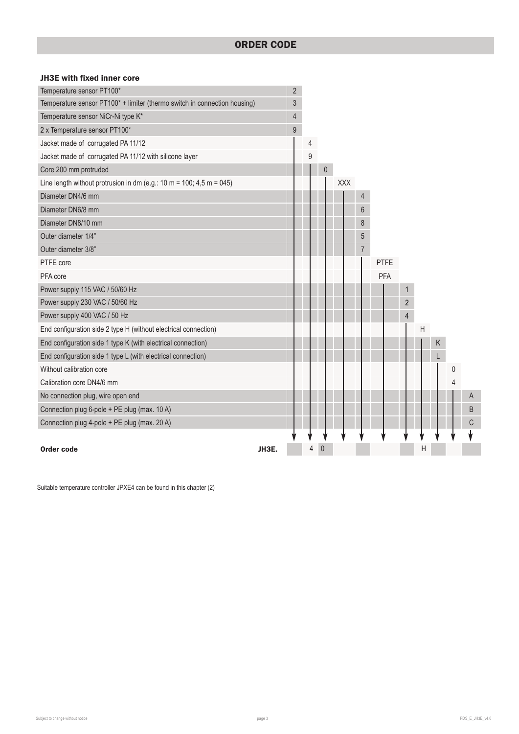### JH3E with fixed inner core

| Temperature sensor PT100*                                                 |       | $\overline{2}$ |   |                  |     |                |      |                |                           |   |   |   |
|---------------------------------------------------------------------------|-------|----------------|---|------------------|-----|----------------|------|----------------|---------------------------|---|---|---|
| Temperature sensor PT100* + limiter (thermo switch in connection housing) |       | $\mathfrak{S}$ |   |                  |     |                |      |                |                           |   |   |   |
| Temperature sensor NiCr-Ni type K*                                        |       | $\sqrt{4}$     |   |                  |     |                |      |                |                           |   |   |   |
| 2 x Temperature sensor PT100*                                             |       | $9\,$          |   |                  |     |                |      |                |                           |   |   |   |
| Jacket made of corrugated PA 11/12                                        |       |                | 4 |                  |     |                |      |                |                           |   |   |   |
| Jacket made of corrugated PA 11/12 with silicone layer                    |       |                | 9 |                  |     |                |      |                |                           |   |   |   |
| Core 200 mm protruded                                                     |       |                |   | $\boldsymbol{0}$ |     |                |      |                |                           |   |   |   |
| Line length without protrusion in dm (e.g.: 10 m = 100; 4,5 m = 045)      |       |                |   |                  | XXX |                |      |                |                           |   |   |   |
| Diameter DN4/6 mm                                                         |       |                |   |                  |     | $\overline{4}$ |      |                |                           |   |   |   |
| Diameter DN6/8 mm                                                         |       |                |   |                  |     | 6              |      |                |                           |   |   |   |
| Diameter DN8/10 mm                                                        |       |                |   |                  |     | 8              |      |                |                           |   |   |   |
| Outer diameter 1/4"                                                       |       |                |   |                  |     | 5              |      |                |                           |   |   |   |
| Outer diameter 3/8"                                                       |       |                |   |                  |     | $\overline{7}$ |      |                |                           |   |   |   |
| PTFE core                                                                 |       |                |   |                  |     |                | PTFE |                |                           |   |   |   |
| PFA core                                                                  |       |                |   |                  |     |                | PFA  |                |                           |   |   |   |
| Power supply 115 VAC / 50/60 Hz                                           |       |                |   |                  |     |                |      | $\mathbf{1}$   |                           |   |   |   |
| Power supply 230 VAC / 50/60 Hz                                           |       |                |   |                  |     |                |      | $\overline{2}$ |                           |   |   |   |
| Power supply 400 VAC / 50 Hz                                              |       |                |   |                  |     |                |      | $\overline{4}$ |                           |   |   |   |
| End configuration side 2 type H (without electrical connection)           |       |                |   |                  |     |                |      |                | $\boldsymbol{\mathsf{H}}$ |   |   |   |
| End configuration side 1 type K (with electrical connection)              |       |                |   |                  |     |                |      |                |                           | Κ |   |   |
| End configuration side 1 type L (with electrical connection)              |       |                |   |                  |     |                |      |                |                           |   |   |   |
| Without calibration core                                                  |       |                |   |                  |     |                |      |                |                           |   | 0 |   |
| Calibration core DN4/6 mm                                                 |       |                |   |                  |     |                |      |                |                           |   | 4 |   |
| No connection plug, wire open end                                         |       |                |   |                  |     |                |      |                |                           |   |   | A |
| Connection plug 6-pole + PE plug (max. 10 A)                              |       |                |   |                  |     |                |      |                |                           |   |   | B |
| Connection plug 4-pole + PE plug (max. 20 A)                              |       |                |   |                  |     |                |      |                |                           |   |   | C |
|                                                                           |       |                |   |                  |     |                |      |                |                           |   |   |   |
| Order code                                                                | JH3E. |                | 4 | $\theta$         |     |                |      |                | Η                         |   |   |   |

Suitable temperature controller JPXE4 can be found in this chapter (2)